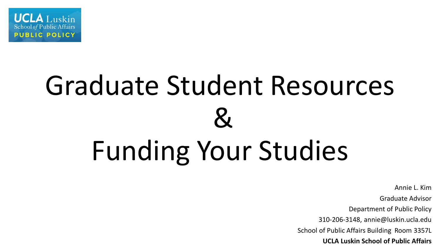

# Graduate Student Resources  $\mathcal{R}_{\text{I}}$ Funding Your Studies

Annie L. Kim

Graduate Advisor

Department of Public Policy

310-206-3148, annie@luskin.ucla.edu

School of Public Affairs Building Room 3357L

**UCLA Luskin School of Public Affairs**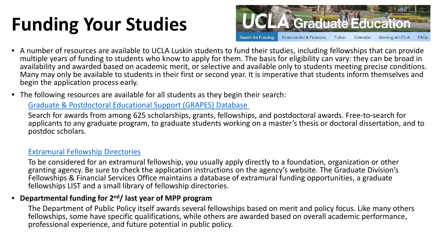# **Funding Your Studies**



- A number of resources are available to UCLA Luskin students to fund their studies, including fellowships that can provide multiple years of funding to students who know to apply for them. The basis for eligibility can vary: they can be broad in availability and awarded based on academic merit, or selective and available only to students meeting precise conditions. Many may only be available to students in their first or second year. It is imperative that students inform themselves and begin the application process early.
- The following resources are available for all students as they begin their search:

### [Graduate & Postdoctoral Educational Support \(GRAPES\) Database](https://grad.ucla.edu/funding/#/)

Search for awards from among 625 scholarships, grants, fellowships, and postdoctoral awards. Free-to-search for applicants to any graduate program, to graduate students working on a master's thesis or doctoral dissertation, and to postdoc scholars.

### [Extramural Fellowship Directories](https://grad.ucla.edu/funding/financial-aid/funding-for-entering-students/extramural-fellowship-directories/)

To be considered for an extramural fellowship, you usually apply directly to a foundation, organization or other granting agency. Be sure to check the application instructions on the agency's website. The Graduate Division's Fellowships & Financial Services Office maintains a database of extramural funding opportunities, a graduate fellowships LIST and a small library of fellowship directories.

### • **Departmental funding for 2nd/ last year of MPP program**

The Department of Public Policy itself awards several fellowships based on merit and policy focus. Like many others fellowships, some have specific qualifications, while others are awarded based on overall academic performance, professional experience, and future potential in public policy.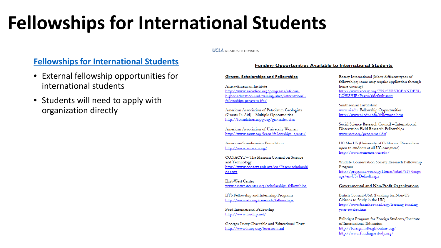# **Fellowships for International Students**

#### **UCLA** GRADUATE DIVISION

### **Fellowships for International Students**

- External fellowship opportunities for international students
- Students will need to apply with organization directly

#### **Funding Opportunities Available to International Students**

#### **Grants, Scholarships and Fellowships**

Africa-American Institute http://www.aaionline.org/programs/africanhigher-education-and-training-ahet/internationalfellowships-program-ifp/

American Association of Petroleum Geologists (Grants-In-Aid) - Multiple Opportunities http://foundation.aapg.org/gia/index.cfm

American Association of University Women http://www.aauw.org/learn/fellowships grants/

American-Scandinavian Foundation http://www.amscan.org/

CONACYT - The Mexican Council on Science and Technology http://www.conacyt.gob.mx/en/Pages/scholarshi ps.aspx

East-West Center www.eastwestcenter.org/scholarships-fellowships

ETS Fellowship and Internship Programs http://www.ets.org/research/fellowships

Ford International Fellowship http://www.fordifp.net/

Georges Lurcy Charitable and Educational Trust http://www.lurcy.org/bourses.html

Rotary International (Many different types of fellowships; some may require application through home country) http://www.rotary.org/EN/SERVICEANDFEL LOWSHIP/Pages/ridefault.aspx

Smithsonian Institution www.si.edu Fellowship Opportunities: http://www.si.edu/ofg/fellowopp.htm

Social Science Research Council - International Dissertation Field Research Fellowships www.ssrc.org/programs/idrf

UC MexUS (University of California, Riverside open to students at all UC campuses) http://www.ucmexus.ucr.edu/

Wildlife Conservation Society Research Fellowship Program http://programs.wcs.org/Home/tabid/937/langu age/en-US/Default.aspx

#### Governmental and Non-Profit Organizations

British Council-USA (Funding for Non-US Citizens to Study in the UK) http://www.britishcouncil.org/learning-fundingyour-studies.htm

Fulbright Program for Foreign Students/Institute of International Education http://foreign.fulbrightonline.org/ http://www.fundingusstudy.org/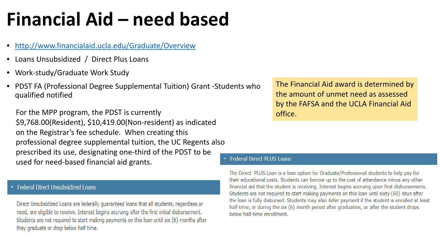# **Financial Aid – need based**

- <http://www.financialaid.ucla.edu/Graduate/Overview>
- Loans Unsubsidized / Direct Plus Loans
- Work-study/Graduate Work Study
- PDST FA (Professional Degree Supplemental Tuition) Grant -Students who qualified notified

For the MPP program, the PDST is currently \$9,768.00(Resident), \$10,419.00(Non-resident) as indicated on the Registrar's fee schedule. When creating this professional degree supplemental tuition, the UC Regents also prescribed its use, designating one-third of the PDST to be used for need-based financial aid grants.

### Federal Direct Unsubsidized Loans

Direct Unsubsidized Loans are federally guaranteed loans that all students, regardless or need, are eligible to receive. Interest begins accruing after the first initial disbursement. Students are not required to start making payments on this loan until six (6) months after they graduate or drop below half time.

The Financial Aid award is determined by the amount of unmet need as assessed by the FAFSA and the UCLA Financial Aid office.

#### **Federal Direct PLUS Loans**

The Direct PLUS Loan is a loan option for Graduate/Professional students to help pay for their educational costs. Students can borrow up to the cost of attendance minus any other financial aid that the student is receiving. Interest begins accruing upon first disbursements. Students are not required to start making payments on this loan until sixty (60) days after the loan is fully disbursed. Students may also defer payment if the student is enrolled at least half-time, or during the six (6) month period after graduation, or after the student drops below half-time enrollment.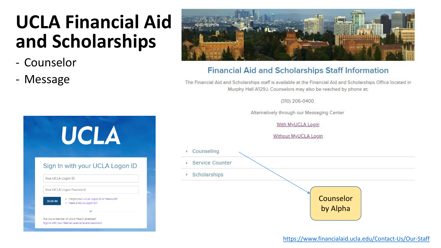# **UCLA Financial Aid and Scholarships**

- Counselor
- Message



### **Financial Aid and Scholarships Staff Information**

The Financial Aid and Scholarships staff is available at the Financial Aid and Scholarships Office located in Murphy Hall A129J. Counselors may also be reached by phone at:

(310) 206-0400

Alternatively through our Messaging Center

With MyUCLA Login

Without MyUCLA Login



| Counseling            |           |  |
|-----------------------|-----------|--|
| Service Counter<br>K. |           |  |
| ▶ Scholarships        |           |  |
|                       |           |  |
|                       | Counselor |  |
|                       | by Alpha  |  |
|                       |           |  |

<https://www.financialaid.ucla.edu/Contact-Us/Our-Staff>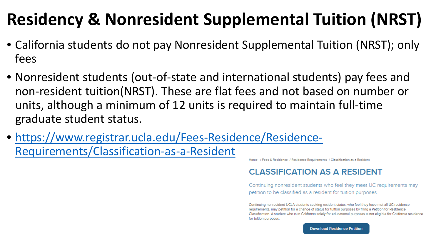# **Residency & Nonresident Supplemental Tuition (NRST)**

- California students do not pay Nonresident Supplemental Tuition (NRST); only fees
- Nonresident students (out-of-state and international students) pay fees and non-resident tuition(NRST). These are flat fees and not based on number or units, although a minimum of 12 units is required to maintain full-time graduate student status.
- [https://www.registrar.ucla.edu/Fees-Residence/Residence-](https://www.financialaid.ucla.edu/Contact-Us/Our-Staff)Requirements/Classification-as-a-Resident

Home / Fees & Residence / Residence Requirements / Classification as a Resident

### **CLASSIFICATION AS A RESIDENT**

Continuing nonresident students who feel they meet UC requirements may petition to be classified as a resident for tuition purposes.

Continuing nonresident UCLA students seeking resident status, who feel they have met all UC residence requirements, may petition for a change of status for tuition purposes by filing a Petition for Residence Classification. A student who is in California solely for educational purposes is not eligible for California residence for tuition purposes.

**Download Residence Petition**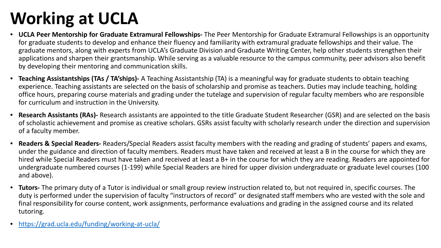# **Working at UCLA**

- **UCLA Peer Mentorship for Graduate Extramural Fellowships-** The Peer Mentorship for Graduate Extramural Fellowships is an opportunity for graduate students to develop and enhance their fluency and familiarity with extramural graduate fellowships and their value. The graduate mentors, along with experts from UCLA's Graduate Division and Graduate Writing Center, help other students strengthen their applications and sharpen their grantsmanship. While serving as a valuable resource to the campus community, peer advisors also benefit by developing their mentoring and communication skills.
- **Teaching Assistantships (TAs / TA'ships)-** A Teaching Assistantship (TA) is a meaningful way for graduate students to obtain teaching experience. Teaching assistants are selected on the basis of scholarship and promise as teachers. Duties may include teaching, holding office hours, preparing course materials and grading under the tutelage and supervision of regular faculty members who are responsible for curriculum and instruction in the University.
- **Research Assistants (RAs)-** Research assistants are appointed to the title Graduate Student Researcher (GSR) and are selected on the basis of scholastic achievement and promise as creative scholars. GSRs assist faculty with scholarly research under the direction and supervision of a faculty member.
- **Readers & Special Readers-** Readers/Special Readers assist faculty members with the reading and grading of students' papers and exams, under the guidance and direction of faculty members. Readers must have taken and received at least a B in the course for which they are hired while Special Readers must have taken and received at least a B+ in the course for which they are reading. Readers are appointed for undergraduate numbered courses (1-199) while Special Readers are hired for upper division undergraduate or graduate level courses (100 and above).
- **Tutors-** The primary duty of a Tutor is individual or small group review instruction related to, but not required in, specific courses. The duty is performed under the supervision of faculty "instructors of record" or designated staff members who are vested with the sole and final responsibility for course content, work assignments, performance evaluations and grading in the assigned course and its related tutoring.
- <https://grad.ucla.edu/funding/working-at-ucla/>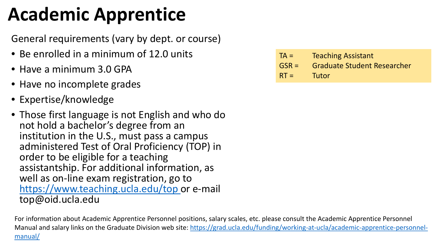# **Academic Apprentice**

General requirements (vary by dept. or course)

- Be enrolled in a minimum of 12.0 units
- Have a minimum 3.0 GPA
- Have no incomplete grades
- Expertise/knowledge
- Those first language is not English and who do not hold a bachelor's degree from an institution in the U.S., must pass a campus administered Test of Oral Proficiency (TOP) in order to be eligible for a teaching assistantship. For additional information, as well as on-line exam registration, go to [https://www.teaching.ucla.edu/top o](https://www.teaching.ucla.edu/top)r e-mail top@oid.ucla.edu

| $TA =$  | <b>Teaching Assistant</b>          |
|---------|------------------------------------|
| $GSR =$ | <b>Graduate Student Researcher</b> |
| $RT =$  | Tutor                              |

For information about Academic Apprentice Personnel positions, salary scales, etc. please consult the Academic Apprentice Personnel [Manual and salary links on the Graduate Division web site: https://grad.ucla.edu/funding/working-at-ucla/academic-apprentice-personnel](https://grad.ucla.edu/funding/working-at-ucla/academic-apprentice-personnel-manual/)manual/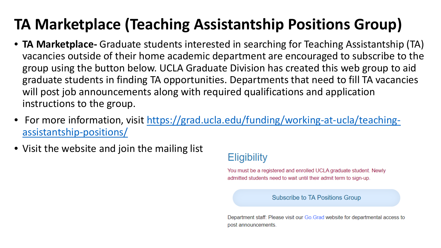### **TA Marketplace (Teaching Assistantship Positions Group)**

- **TA Marketplace-** Graduate students interested in searching for Teaching Assistantship (TA) vacancies outside of their home academic department are encouraged to subscribe to the group using the button below. UCLA Graduate Division has created this web group to aid graduate students in finding TA opportunities. Departments that need to fill TA vacancies will post job announcements along with required qualifications and application instructions to the group.
- [For more information, visit https://grad.ucla.edu/funding/working-at-ucla/teaching](https://grad.ucla.edu/funding/working-at-ucla/teaching-assistantship-positions/)assistantship-positions/
- Visit the website and join the mailing list

### **Eligibility**

You must be a registered and enrolled UCLA graduate student. Newly admitted students need to wait until their admit term to sign-up.

**Subscribe to TA Positions Group** 

Department staff: Please visit our Go. Grad website for departmental access to post announcements.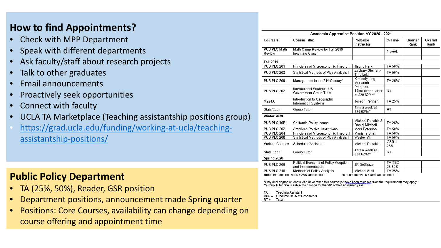### **How to find Appointments?**

- Check with MPP Department
- Speak with different departments
- Ask faculty/staff about research projects
- Talk to other graduates
- Email announcements
- Proactively seek opportunities
- Connect with faculty
- UCLA TA Marketplace (Teaching assistantship positions group)
- [https://grad.ucla.edu/funding/working-at-ucla/teaching](https://grad.ucla.edu/funding/working-at-ucla/teaching-assistantship-positions/)assistantship-positions/

### **Public Policy Department**

- TA (25%, 50%), Reader, GSR position
- Department positions, announcement made Spring quarter
- Positions: Core Courses, availability can change depending on course offering and appointment time

| Course #:              | <b>Course Title:</b>                                        | Probable<br>Instructor:                           | % Time           | Quarter<br>Rank | Overall<br>Rank |
|------------------------|-------------------------------------------------------------|---------------------------------------------------|------------------|-----------------|-----------------|
| PUB PLC Math<br>Review | Math Camp Review for Fall 2019<br>Incoming Class            |                                                   | 1 week           |                 |                 |
|                        |                                                             |                                                   |                  |                 |                 |
| <b>Fall 2019</b>       |                                                             |                                                   |                  |                 |                 |
| PUB PLC 201            | Principles of Microeconomic Theory I                        | Jisung Park                                       | TA 50%           |                 |                 |
| PUB PLC 203            | Statistical Methods of Plcy Analysis I                      | Zachary Steinert-<br>Threlkeld                    | TA 50%           |                 |                 |
| PUB PLC 209            | Management in the 21st Century*                             | Kimberly Ling<br>Murtaugh                         | TA 25%*          |                 |                 |
| PUB PLC 202            | International Students' US<br>Government Group Tutor        | Peterson<br>10hrs over quarter<br>at \$20.62/hr** | RT               |                 |                 |
| M224A                  | Introduction to Geographic<br>Information Systems           | Joseph Perman                                     | TA 25%           |                 |                 |
| Stats/Econ             | Group Tutor                                                 | 4hrs a week at<br>\$20.62/hr**                    | RT               |                 |                 |
| Winter 2020            |                                                             |                                                   |                  |                 |                 |
| PUB PLC 10B            | California Policy Issues                                    | Michael Dukakis &<br>Daniel Mitchell              | TA 25%           |                 |                 |
| PUB PLC 202            | American Political Institutions                             | Mark Peterson                                     | TA 50%           |                 |                 |
| PUB PLC 204            | Principles of Microeconomic Theory II                       | Manisha Shah                                      | TA 50%           |                 |                 |
| PUB PLC 208            | Statistical Methods of Plcy Analysis II                     | Wesley Yin                                        | TA 50%           |                 |                 |
| Various Courses        | Scheduler/Assistant                                         | Michael Dukakis                                   | $GSR-1$<br>25%   |                 |                 |
| Stats/Econ             | Group Tutor                                                 | 4hrs a week at<br>\$20.62/hr**                    | RT               |                 |                 |
| Spring 2020            |                                                             |                                                   |                  |                 |                 |
| PUB PLC 206            | Political Economy of Policy Adoption<br>and Implementation. | JR DeShazo                                        | TA-TBD<br>25-50% |                 |                 |
| PUB PLC 210            | Methods of Policy Analysis                                  | <b>Michael Stoll</b>                              | TA 25%           |                 |                 |

\*Group Tutor rate is subject to change for the 2019-2020 academic year

Teaching Assistant TA =  $GSR =$ Graduate Student Researcher

 $RT =$ Tutor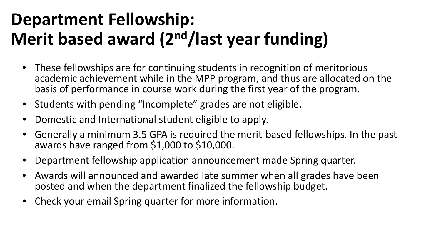### **Department Fellowship: Merit based award (2nd/last year funding)**

- These fellowships are for continuing students in recognition of meritorious academic achievement while in the MPP program, and thus are allocated on the basis of performance in course work during the first year of the program.
- Students with pending "Incomplete" grades are not eligible.
- Domestic and International student eligible to apply.
- Generally a minimum 3.5 GPA is required the merit-based fellowships. In the past awards have ranged from \$1,000 to \$10,000.
- Department fellowship application announcement made Spring quarter.
- Awards will announced and awarded late summer when all grades have been posted and when the department finalized the fellowship budget.
- Check your email Spring quarter for more information.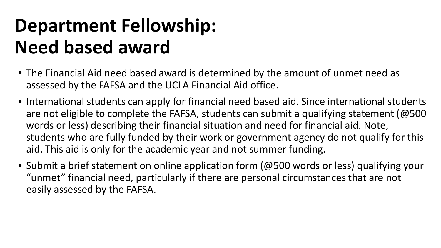# **Department Fellowship: Need based award**

- The Financial Aid need based award is determined by the amount of unmet need as assessed by the FAFSA and the UCLA Financial Aid office.
- International students can apply for financial need based aid. Since international students are not eligible to complete the FAFSA, students can submit a qualifying statement (@500 words or less) describing their financial situation and need for financial aid. Note, students who are fully funded by their work or government agency do not qualify for this aid. This aid is only for the academic year and not summer funding.
- Submit a brief statement on online application form (@500 words or less) qualifying your "unmet" financial need, particularly if there are personal circumstances that are not easily assessed by the FAFSA.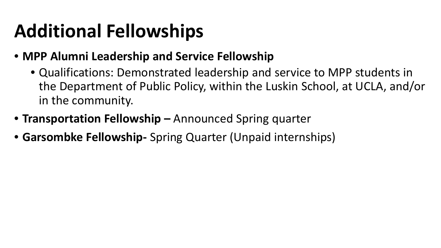# **Additional Fellowships**

- **MPP Alumni Leadership and Service Fellowship**
	- Qualifications: Demonstrated leadership and service to MPP students in the Department of Public Policy, within the Luskin School, at UCLA, and/or in the community.
- **Transportation Fellowship –** Announced Spring quarter
- **Garsombke Fellowship-** Spring Quarter (Unpaid internships)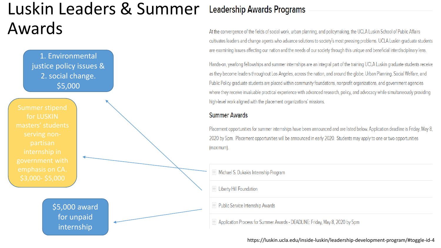### Luskin Leaders & Summer Awards



### **Leadership Awards Programs**

At the convergence of the fields of social work, urban planning, and policymaking, the UCLA Luskin School of Public Affairs cultivates leaders and change agents who advance solutions to society's most pressing problems. UCLA Luskin graduate students are examining issues affecting our nation and the needs of our society through this unique and beneficial interdisciplinary lens.

Hands-on, yearlong fellowships and summer internships are an integral part of the training UCLA Luskin graduate students receive as they become leaders throughout Los Angeles, across the nation, and around the globe. Urban Planning, Social Welfare, and Public Policy graduate students are placed within community foundations, nonprofit organizations, and government agencies where they receive invaluable practical experience with advanced research, policy, and advocacy while simultaneously providing high-level work aligned with the placement organizations' missions.

### **Summer Awards**

Placement opportunities for summer internships have been announced and are listed below. Application deadline is Friday, May 8, 2020 by 5pm. Placement opportunities will be announced in early 2020. Students may apply to one or two opportunities (maximum).

H Michael S. Dukakis Internship Program

+ Liberty Hill Foundation

+ Public Service Internship Awards

Application Process for Summer Awards - DEADLINE: Friday, May 8, 2020 by 5pm

#### https://luskin.ucla.edu/inside-luskin/leadership-development-program/#toggle-id-4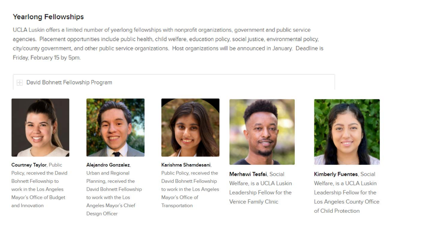### **Yearlong Fellowships**

UCLA Luskin offers a limited number of yearlong fellowships with nonprofit organizations, government and public service agencies. Placement opportunities include public health, child welfare, education policy, social justice, environmental policy, city/county government, and other public service organizations. Host organizations will be announced in January. Deadline is Friday, February 15 by 5pm.

David Bohnett Fellowship Program  $\left\vert \cdot \right\vert$ 



**Courtney Taylor, Public** Policy, received the David Bohnett Fellowship to work in the Los Angeles Mayor's Office of Budget and Innovation



Alejandro Gonzalez, Urban and Regional Planning, received the David Bohnett Fellowship to work with the Los Angeles Mayor's Chief Design Officer



Karishma Shamdesani. Public Policy, received the David Bohnett Fellowship to work in the Los Angeles Mayor's Office of Transportation



Merhawi Tesfai, Social Welfare, is a UCLA Luskin Leadership Fellow for the Venice Family Clinic



Kimberly Fuentes, Social Welfare, is a UCLA Luskin Leadership Fellow for the Los Angeles County Office of Child Protection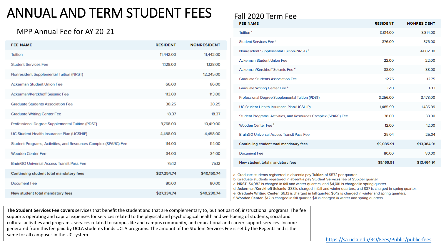### ANNUAL AND TERM STUDENT FEES

### MPP Annual Fee for AY 20-21

| <b>FEE NAME</b>                                                 | <b>RESIDENT</b> | <b>NONRESIDENT</b> |
|-----------------------------------------------------------------|-----------------|--------------------|
| <b>Tuition</b>                                                  | 11,442.00       | 11,442.00          |
| <b>Student Services Fee</b>                                     | 1,128.00        | 1,128.00           |
| Nonresident Supplemental Tuition (NRST)                         |                 | 12,245.00          |
| <b>Ackerman Student Union Fee</b>                               | 66.00           | 66.00              |
| Ackerman/Kerckhoff Seismic Fee                                  | 113.00          | 113.00             |
| <b>Graduate Students Association Fee</b>                        | 38.25           | 38.25              |
| <b>Graduate Writing Center Fee</b>                              | 18.37           | 18.37              |
| Professional Degree Supplemental Tuition (PDST)                 | 9,768.00        | 10,419.00          |
| UC Student Health Insurance Plan (UCSHIP)                       | 4,458.00        | 4,458.00           |
| Student Programs, Activities, and Resources Complex (SPARC) Fee | 114.00          | 114.00             |
| <b>Wooden Center Fee</b>                                        | 34.00           | 34.00              |
| <b>BruinGO Universal Access Transit Pass Fee</b>                | 75.12           | 75.12              |
| Continuing student total mandatory fees                         | \$27,254.74     | \$40,150.74        |
| <b>Document Fee</b>                                             | 80.00           | 80.00              |
| New student total mandatory fees                                | \$27,334.74     | \$40,230.74        |

### Fall 2020 Term Fee

| <b>FEE NAME</b>                                                 | <b>RESIDENT</b> | <b>NONRESIDENT</b> |
|-----------------------------------------------------------------|-----------------|--------------------|
| Tuition <sup>a</sup>                                            | 3,814.00        | 3,814.00           |
| Student Services Fee b                                          | 376.00          | 376.00             |
| Nonresident Supplemental Tuition (NRST) c                       |                 | 4,082.00           |
| <b>Ackerman Student Union Fee</b>                               | 22.00           | 22.00              |
| Ackerman/Kerckhoff Seismic Fee d                                | 38.00           | 38.00              |
| <b>Graduate Students Association Fee</b>                        | 12.75           | 12.75              |
| Graduate Writing Center Fee <sup>e</sup>                        | 6.13            | 6.13               |
| Professional Degree Supplemental Tuition (PDST)                 | 3,256.00        | 3,473.00           |
| UC Student Health Insurance Plan (UCSHIP)                       | 1,485.99        | 1,485.99           |
| Student Programs, Activities, and Resources Complex (SPARC) Fee | 38.00           | 38.00              |
| Wooden Center Fee <sup>f</sup>                                  | 12.00           | 12.00              |
| <b>BruinGO Universal Access Transit Pass Fee</b>                | 25.04           | 25.04              |
| Continuing student total mandatory fees                         | \$9,085.91      | \$13,384.91        |
| <b>Document Fee</b>                                             | 80.00           | 80.00              |
| New student total mandatory fees                                | \$9,165.91      | \$13,464.91        |

a. Graduate students registered in absentia pay Tuition of \$572 per quarter.

b. Graduate students registered in absentia pay Student Services fee of \$56 per quarter.

c. NRST \$4,082 is charged in fall and winter quarters, and \$4,081 is charged in spring quarter.

d. Ackerman/Kerckhoff Seismic \$38 is charged in fall and winter quarters, and \$37 is charged in spring quarter.

e. Graduate Writing Center \$6.13 is charged in fall quarter, \$6.12 is charged in winter and spring quarters.

f. Wooden Center \$12 is charged in fall quarter, \$11 is charged in winter and spring quarters.

**The Student Services Fee covers** services that benefit the student and that are complementary to, but not part of, instructional programs. The fee supports operating and capital expenses for services related to the physical and psychological health and well-being of students, social and cultural activities and programs, services related to campus life and campus community, and educational and career support services. Income generated from this fee paid by UCLA students funds UCLA programs. The amount of the Student Services Fee is set by the Regents and is the same for all campuses in the UC system.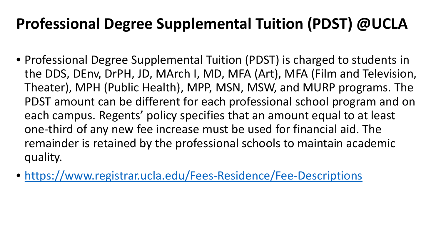### **Professional Degree Supplemental Tuition (PDST) @UCLA**

- Professional Degree Supplemental Tuition (PDST) is charged to students in the DDS, DEnv, DrPH, JD, MArch I, MD, MFA (Art), MFA (Film and Television, Theater), MPH (Public Health), MPP, MSN, MSW, and MURP programs. The PDST amount can be different for each professional school program and on each campus. Regents' policy specifies that an amount equal to at least one-third of any new fee increase must be used for financial aid. The remainder is retained by the professional schools to maintain academic quality.
- <https://www.registrar.ucla.edu/Fees-Residence/Fee-Descriptions>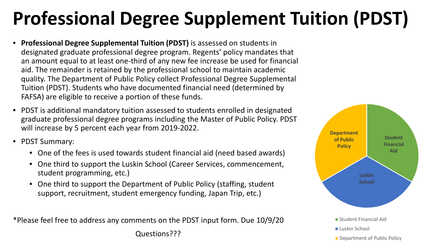# **Professional Degree Supplement Tuition (PDST)**

- **Professional Degree Supplemental Tuition (PDST)** is assessed on students in designated graduate professional degree program. Regents' policy mandates that an amount equal to at least one-third of any new fee increase be used for financial aid. The remainder is retained by the professional school to maintain academic quality. The Department of Public Policy collect Professional Degree Supplemental Tuition (PDST). Students who have documented financial need (determined by FAFSA) are eligible to receive a portion of these funds.
- PDST is additional mandatory tuition assessed to students enrolled in designated graduate professional degree programs including the Master of Public Policy. PDST will increase by 5 percent each year from 2019-2022.
- PDST Summary:
	- One of the fees is used towards student financial aid (need based awards)
	- One third to support the Luskin School (Career Services, commencement, student programming, etc.)
	- One third to support the Department of Public Policy (staffing, student support, recruitment, student emergency funding, Japan Trip, etc.)

\*Please feel free to address any comments on the PDST input form. Due 10/9/20

Questions???